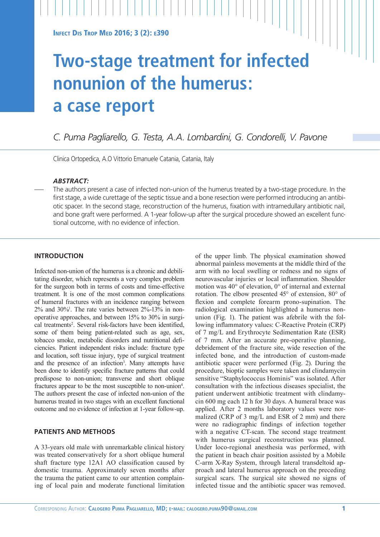# **Two-stage treatment for infected nonunion of the humerus: a case report**

*C. Puma Pagliarello, G. Testa, A.A. Lombardini, G. Condorelli, V. Pavone*

Clinica Ortopedica, A.O Vittorio Emanuele Catania, Catania, Italy

# *ABSTRACT:*

— The authors present a case of infected non-union of the humerus treated by a two-stage procedure. In the first stage, a wide curettage of the septic tissue and a bone resection were performed introducing an antibiotic spacer. In the second stage, reconstruction of the humerus, fixation with intramedullary antibiotic nail, and bone graft were performed. A 1-year follow-up after the surgical procedure showed an excellent functional outcome, with no evidence of infection.

## **INTRODUCTION**

Infected non-union of the humerus is a chronic and debilitating disorder, which represents a very complex problem for the surgeon both in terms of costs and time-effective treatment. It is one of the most common complications of humeral fractures with an incidence ranging between  $2\%$  and  $30\%$ <sup>1</sup>. The rate varies between  $2\%$ -13% in nonoperative approaches, and between 15% to 30% in surgical treatments<sup>2</sup>. Several risk-factors have been identified, some of them being patient-related such as age, sex, tobacco smoke, metabolic disorders and nutritional deficiencies. Patient independent risks include: fracture type and location, soft tissue injury, type of surgical treatment and the presence of an infection<sup>3</sup>. Many attempts have been done to identify specific fracture patterns that could predispose to non-union; transverse and short oblique fractures appear to be the most susceptible to non-union<sup>4</sup>. The authors present the case of infected non-union of the humerus treated in two stages with an excellent functional outcome and no evidence of infection at 1-year follow-up.

# **PATIENTS AND METHODS**

A 33-years old male with unremarkable clinical history was treated conservatively for a short oblique humeral shaft fracture type 12A1 AO classification caused by domestic trauma. Approximately seven months after the trauma the patient came to our attention complaining of local pain and moderate functional limitation of the upper limb. The physical examination showed abnormal painless movements at the middle third of the arm with no local swelling or redness and no signs of neurovascular injuries or local inflammation. Shoulder motion was 40° of elevation, 0° of internal and external rotation. The elbow presented 45° of extension, 80° of flexion and complete forearm prono-supination. The radiological examination highlighted a humerus nonunion (Fig. 1). The patient was afebrile with the following inflammatory values: C-Reactive Protein (CRP) of 7 mg/L and Erythrocyte Sedimentation Rate (ESR) of 7 mm. After an accurate pre-operative planning, debridement of the fracture site, wide resection of the infected bone, and the introduction of custom-made antibiotic spacer were performed (Fig. 2). During the procedure, bioptic samples were taken and clindamycin sensitive "Staphylococcus Hominis" was isolated. After consultation with the infectious diseases specialist, the patient underwent antibiotic treatment with clindamycin 600 mg each 12 h for 30 days. A humeral brace was applied. After 2 months laboratory values were normalized (CRP of 3 mg/L and ESR of 2 mm) and there were no radiographic findings of infection together with a negative CT-scan. The second stage treatment with humerus surgical reconstruction was planned. Under loco-regional anesthesia was performed, with the patient in beach chair position assisted by a Mobile C-arm X-Ray System, through lateral transdeltoid approach and lateral humerus approach on the preceding surgical scars. The surgical site showed no signs of infected tissue and the antibiotic spacer was removed.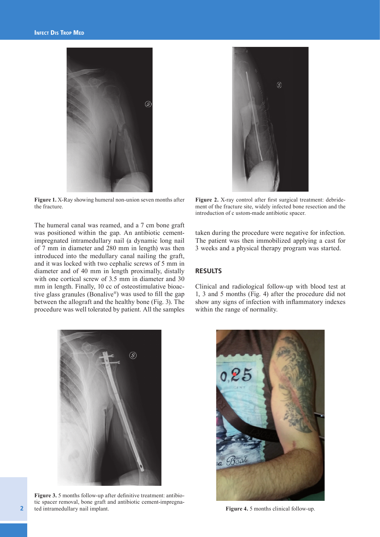

**Figure 1.** X-Ray showing humeral non-union seven months after the fracture.

The humeral canal was reamed, and a 7 cm bone graft was positioned within the gap. An antibiotic cementimpregnated intramedullary nail (a dynamic long nail of 7 mm in diameter and 280 mm in length) was then introduced into the medullary canal nailing the graft, and it was locked with two cephalic screws of 5 mm in diameter and of 40 mm in length proximally, distally with one cortical screw of 3.5 mm in diameter and 30 mm in length. Finally, 10 cc of osteostimulative bioactive glass granules (Bonalive®) was used to fill the gap between the allograft and the healthy bone (Fig. 3). The procedure was well tolerated by patient. All the samples



**Figure 2.** X-ray control after first surgical treatment: debridement of the fracture site, widely infected bone resection and the introduction of c ustom-made antibiotic spacer.

taken during the procedure were negative for infection. The patient was then immobilized applying a cast for 3 weeks and a physical therapy program was started.

# **RESULTS**

Clinical and radiological follow-up with blood test at 1, 3 and 5 months (Fig. 4) after the procedure did not show any signs of infection with inflammatory indexes within the range of normality.



**Figure 3.** 5 months follow-up after definitive treatment: antibiotic spacer removal, bone graft and antibiotic cement-impregnated intramedullary nail implant. **Figure 4.** 5 months clinical follow-up.

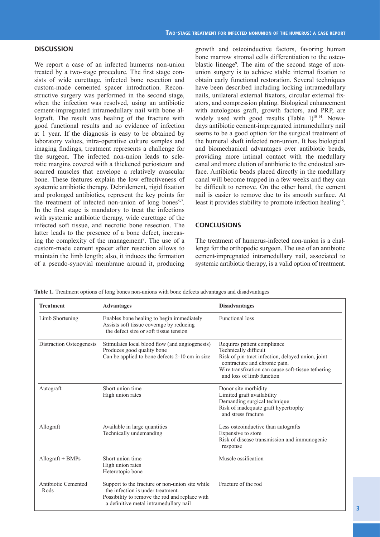## **DISCUSSION**

We report a case of an infected humerus non-union treated by a two-stage procedure. The first stage consists of wide curettage, infected bone resection and custom-made cemented spacer introduction. Reconstructive surgery was performed in the second stage, when the infection was resolved, using an antibiotic cement-impregnated intramedullary nail with bone allograft. The result was healing of the fracture with good functional results and no evidence of infection at 1 year. If the diagnosis is easy to be obtained by laboratory values, intra-operative culture samples and imaging findings, treatment represents a challenge for the surgeon. The infected non-union leads to sclerotic margins covered with a thickened periosteum and scarred muscles that envelope a relatively avascular bone. These features explain the low effectiveness of systemic antibiotic therapy. Debridement, rigid fixation and prolonged antibiotics, represent the key points for the treatment of infected non-union of long bones<sup>5-7</sup>. In the first stage is mandatory to treat the infections with systemic antibiotic therapy, wide curettage of the infected soft tissue, and necrotic bone resection. The latter leads to the presence of a bone defect, increasing the complexity of the management<sup>8</sup>. The use of a custom-made cement spacer after resection allows to maintain the limb length; also, it induces the formation of a pseudo-synovial membrane around it, producing

growth and osteoinductive factors, favoring human bone marrow stromal cells differentiation to the osteoblastic lineage9 . The aim of the second stage of nonunion surgery is to achieve stable internal fixation to obtain early functional restoration. Several techniques have been described including locking intramedullary nails, unilateral external fixators, circular external fixators, and compression plating. Biological enhancement with autologous graft, growth factors, and PRP, are widely used with good results  $(Table 1)^{10-14}$ . Nowadays antibiotic cement-impregnated intramedullary nail seems to be a good option for the surgical treatment of the humeral shaft infected non-union. It has biological and biomechanical advantages over antibiotic beads, providing more intimal contact with the medullary canal and more elution of antibiotic to the endosteal surface. Antibiotic beads placed directly in the medullary canal will become trapped in a few weeks and they can be difficult to remove. On the other hand, the cement nail is easier to remove due to its smooth surface. At least it provides stability to promote infection healing<sup>15</sup>.

## **CONCLUSIONS**

The treatment of humerus-infected non-union is a challenge for the orthopedic surgeon. The use of an antibiotic cement-impregnated intramedullary nail, associated to systemic antibiotic therapy, is a valid option of treatment.

**Table 1.** Treatment options of long bones non-unions with bone defects advantages and disadvantages

| <b>Treatment</b>            | <b>Advantages</b>                                                                                                                                                                | <b>Disadvantages</b>                                                                                                                                                                                                          |
|-----------------------------|----------------------------------------------------------------------------------------------------------------------------------------------------------------------------------|-------------------------------------------------------------------------------------------------------------------------------------------------------------------------------------------------------------------------------|
| Limb Shortening             | Enables bone healing to begin immediately<br>Assists soft tissue coverage by reducing<br>the defect size or soft tissue tension                                                  | <b>Functional loss</b>                                                                                                                                                                                                        |
| Distraction Osteogenesis    | Stimulates local blood flow (and angiogenesis)<br>Produces good quality bone<br>Can be applied to bone defects 2-10 cm in size                                                   | Requires patient compliance<br>Technically difficult<br>Risk of pin-tract infection, delayed union, joint<br>contracture and chronic pain.<br>Wire transfixation can cause soft-tissue tethering<br>and loss of limb function |
| Autograft                   | Short union time<br>High union rates                                                                                                                                             | Donor site morbidity<br>Limited graft availability<br>Demanding surgical technique<br>Risk of inadequate graft hypertrophy<br>and stress fracture                                                                             |
| Allograft                   | Available in large quantities<br>Technically undemanding                                                                                                                         | Less osteoinductive than autografts<br>Expensive to store<br>Risk of disease transmission and immunogenic<br>response                                                                                                         |
| Allograft + BMPs            | Short union time<br>High union rates<br>Heterotopic bone                                                                                                                         | Muscle ossification                                                                                                                                                                                                           |
| Antibiotic Cemented<br>Rods | Support to the fracture or non-union site while<br>the infection is under treatment.<br>Possibility to remove the rod and replace with<br>a definitive metal intramedullary nail | Fracture of the rod                                                                                                                                                                                                           |